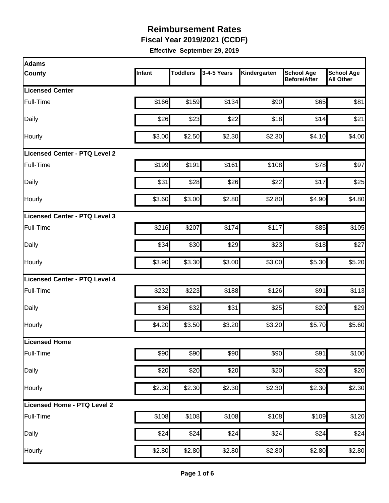**Fiscal Year 2019/2021 (CCDF)** 

| <b>Adams</b>                  |        |                 |             |              |                                          |                                       |
|-------------------------------|--------|-----------------|-------------|--------------|------------------------------------------|---------------------------------------|
| <b>County</b>                 | Infant | <b>Toddlers</b> | 3-4-5 Years | Kindergarten | <b>School Age</b><br><b>Before/After</b> | <b>School Age</b><br><b>All Other</b> |
| <b>Licensed Center</b>        |        |                 |             |              |                                          |                                       |
| Full-Time                     | \$166  | \$159           | \$134       | \$90         | \$65                                     | \$81                                  |
| Daily                         | \$26   | \$23            | \$22        | \$18         | \$14                                     | \$21                                  |
| Hourly                        | \$3.00 | \$2.50          | \$2.30      | \$2.30       | \$4.10                                   | \$4.00                                |
| Licensed Center - PTQ Level 2 |        |                 |             |              |                                          |                                       |
| Full-Time                     | \$199  | \$191           | \$161       | \$108        | \$78                                     | \$97                                  |
| Daily                         | \$31   | \$28            | \$26        | \$22         | \$17                                     | \$25                                  |
| Hourly                        | \$3.60 | \$3.00          | \$2.80      | \$2.80       | \$4.90                                   | \$4.80                                |
| Licensed Center - PTQ Level 3 |        |                 |             |              |                                          |                                       |
| Full-Time                     | \$216  | \$207           | \$174       | \$117        | \$85                                     | \$105                                 |
| Daily                         | \$34   | \$30            | \$29        | \$23         | \$18                                     | \$27                                  |
| Hourly                        | \$3.90 | \$3.30          | \$3.00      | \$3.00       | \$5.30                                   | \$5.20                                |
| Licensed Center - PTQ Level 4 |        |                 |             |              |                                          |                                       |
| Full-Time                     | \$232  | \$223           | \$188       | \$126        | \$91                                     | \$113                                 |
| Daily                         | \$36   | \$32            | \$31        | \$25         | \$20                                     | \$29                                  |
| Hourly                        | \$4.20 | \$3.50          | \$3.20      | \$3.20       | \$5.70                                   | \$5.60                                |
| <b>Licensed Home</b>          |        |                 |             |              |                                          |                                       |
| Full-Time                     | \$90   | \$90            | \$90        | \$90         | \$91                                     | \$100                                 |
| Daily                         | \$20   | \$20            | \$20        | \$20         | \$20                                     | \$20                                  |
| Hourly                        | \$2.30 | \$2.30          | \$2.30      | \$2.30       | \$2.30                                   | \$2.30                                |
| Licensed Home - PTQ Level 2   |        |                 |             |              |                                          |                                       |
| Full-Time                     | \$108  | \$108           | \$108       | \$108        | \$109                                    | \$120                                 |
| Daily                         | \$24   | \$24            | \$24        | \$24         | \$24                                     | \$24                                  |
| Hourly                        | \$2.80 | \$2.80          | \$2.80      | \$2.80       | \$2.80                                   | \$2.80                                |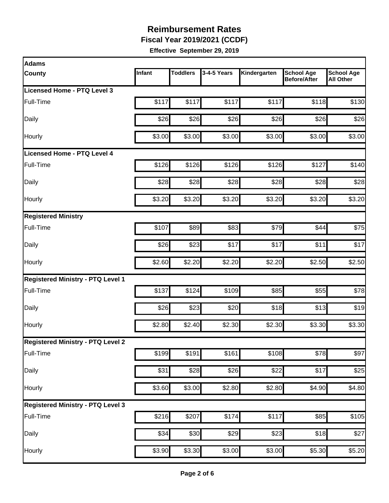**Fiscal Year 2019/2021 (CCDF)** 

| <b>Adams</b>                             |        |                 |                  |              |                                          |                                       |
|------------------------------------------|--------|-----------------|------------------|--------------|------------------------------------------|---------------------------------------|
| County                                   | Infant | <b>Toddlers</b> | 3-4-5 Years      | Kindergarten | <b>School Age</b><br><b>Before/After</b> | <b>School Age</b><br><b>All Other</b> |
| Licensed Home - PTQ Level 3              |        |                 |                  |              |                                          |                                       |
| Full-Time                                | \$117  | \$117           | \$117            | \$117        | \$118                                    | \$130                                 |
| Daily                                    | \$26   | \$26            | \$26             | \$26         | \$26                                     | \$26                                  |
| Hourly                                   | \$3.00 | \$3.00          | \$3.00           | \$3.00       | \$3.00                                   | \$3.00                                |
| Licensed Home - PTQ Level 4              |        |                 |                  |              |                                          |                                       |
| Full-Time                                | \$126  | \$126           | \$126            | \$126        | \$127                                    | \$140                                 |
| Daily                                    | \$28   | \$28            | \$28             | \$28         | \$28                                     | \$28                                  |
| Hourly                                   | \$3.20 | \$3.20          | \$3.20           | \$3.20       | \$3.20                                   | \$3.20                                |
| <b>Registered Ministry</b>               |        |                 |                  |              |                                          |                                       |
| Full-Time                                | \$107  | \$89            | \$83             | \$79         | \$44                                     | \$75                                  |
| Daily                                    | \$26   | \$23            | \$17             | \$17         | \$11                                     | \$17                                  |
| Hourly                                   | \$2.60 | \$2.20          | \$2.20           | \$2.20       | \$2.50                                   | \$2.50                                |
| <b>Registered Ministry - PTQ Level 1</b> |        |                 |                  |              |                                          |                                       |
| Full-Time                                | \$137  | \$124           | \$109            | \$85         | \$55                                     | \$78                                  |
| Daily                                    | \$26   | \$23            | \$20             | \$18         | \$13                                     | \$19                                  |
| Hourly                                   | \$2.80 | \$2.40          | \$2.30           | \$2.30       | \$3.30                                   | \$3.30                                |
| <b>Registered Ministry - PTQ Level 2</b> |        |                 |                  |              |                                          |                                       |
| Full-Time                                | \$199  | \$191           | \$161            | \$108        | \$78                                     | \$97                                  |
| Daily                                    | \$31   | \$28            | $\overline{$}26$ | \$22         | \$17                                     | \$25                                  |
| Hourly                                   | \$3.60 | \$3.00          | \$2.80           | \$2.80       | \$4.90                                   | \$4.80                                |
| <b>Registered Ministry - PTQ Level 3</b> |        |                 |                  |              |                                          |                                       |
| Full-Time                                | \$216  | \$207           | \$174            | \$117        | $\overline{$85}$                         | $\overline{$}105$                     |
| Daily                                    | \$34   | \$30            | $\overline{$}29$ | \$23         | \$18                                     | \$27                                  |
| Hourly                                   | \$3.90 | \$3.30          | \$3.00           | \$3.00       | \$5.30                                   | \$5.20                                |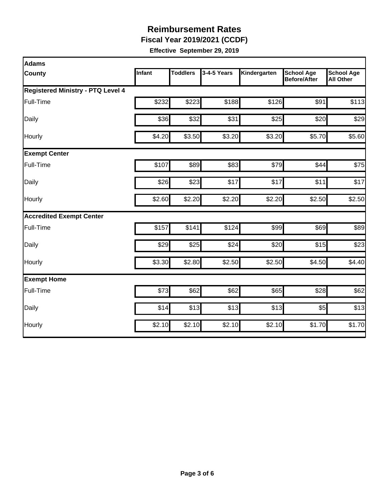**Fiscal Year 2019/2021 (CCDF)** 

| Adams                             |               |                 |             |              |                                          |                                       |  |  |  |
|-----------------------------------|---------------|-----------------|-------------|--------------|------------------------------------------|---------------------------------------|--|--|--|
| County                            | <b>Infant</b> | <b>Toddlers</b> | 3-4-5 Years | Kindergarten | <b>School Age</b><br><b>Before/After</b> | <b>School Age</b><br><b>All Other</b> |  |  |  |
| Registered Ministry - PTQ Level 4 |               |                 |             |              |                                          |                                       |  |  |  |
| Full-Time                         | \$232         | \$223           | \$188       | \$126        | \$91                                     | \$113                                 |  |  |  |
| Daily                             | \$36          | \$32            | \$31        | \$25         | \$20                                     | \$29                                  |  |  |  |
| Hourly                            | \$4.20        | \$3.50          | \$3.20      | \$3.20       | \$5.70                                   | \$5.60                                |  |  |  |
| <b>Exempt Center</b>              |               |                 |             |              |                                          |                                       |  |  |  |
| Full-Time                         | \$107         | \$89            | \$83        | \$79         | \$44                                     | \$75                                  |  |  |  |
| Daily                             | \$26          | \$23            | \$17        | \$17         | \$11                                     | \$17                                  |  |  |  |
| Hourly                            | \$2.60        | \$2.20          | \$2.20      | \$2.20       | \$2.50                                   | \$2.50                                |  |  |  |
| <b>Accredited Exempt Center</b>   |               |                 |             |              |                                          |                                       |  |  |  |
| Full-Time                         | \$157         | \$141           | \$124       | \$99         | \$69                                     | \$89                                  |  |  |  |
| Daily                             | \$29          | \$25            | \$24        | \$20         | \$15                                     | \$23                                  |  |  |  |
| Hourly                            | \$3.30        | \$2.80          | \$2.50      | \$2.50       | \$4.50                                   | \$4.40                                |  |  |  |
| <b>Exempt Home</b>                |               |                 |             |              |                                          |                                       |  |  |  |
| Full-Time                         | \$73          | \$62            | \$62        | \$65         | \$28                                     | \$62                                  |  |  |  |
| Daily                             | \$14          | \$13            | \$13        | \$13         | \$5                                      | \$13                                  |  |  |  |
| Hourly                            | \$2.10        | \$2.10          | \$2.10      | \$2.10       | \$1.70                                   | \$1.70                                |  |  |  |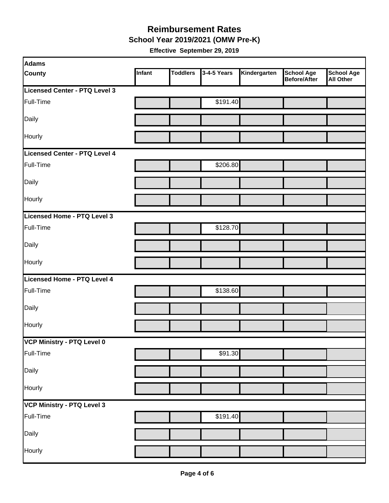#### **Reimbursement Rates School Year 2019/2021 (OMW Pre-K)**

| Adams                         |        |                 |             |              |                                          |                                       |
|-------------------------------|--------|-----------------|-------------|--------------|------------------------------------------|---------------------------------------|
| <b>County</b>                 | Infant | <b>Toddlers</b> | 3-4-5 Years | Kindergarten | <b>School Age</b><br><b>Before/After</b> | <b>School Age</b><br><b>All Other</b> |
| Licensed Center - PTQ Level 3 |        |                 |             |              |                                          |                                       |
| Full-Time                     |        |                 | \$191.40    |              |                                          |                                       |
| Daily                         |        |                 |             |              |                                          |                                       |
| <b>Hourly</b>                 |        |                 |             |              |                                          |                                       |
| Licensed Center - PTQ Level 4 |        |                 |             |              |                                          |                                       |
| Full-Time                     |        |                 | \$206.80    |              |                                          |                                       |
| Daily                         |        |                 |             |              |                                          |                                       |
| Hourly                        |        |                 |             |              |                                          |                                       |
| Licensed Home - PTQ Level 3   |        |                 |             |              |                                          |                                       |
| Full-Time                     |        |                 | \$128.70    |              |                                          |                                       |
| Daily                         |        |                 |             |              |                                          |                                       |
| Hourly                        |        |                 |             |              |                                          |                                       |
| Licensed Home - PTQ Level 4   |        |                 |             |              |                                          |                                       |
| Full-Time                     |        |                 | \$138.60    |              |                                          |                                       |
| Daily                         |        |                 |             |              |                                          |                                       |
| Hourly                        |        |                 |             |              |                                          |                                       |
| VCP Ministry - PTQ Level 0    |        |                 |             |              |                                          |                                       |
| Full-Time                     |        |                 | \$91.30     |              |                                          |                                       |
| Daily                         |        |                 |             |              |                                          |                                       |
| Hourly                        |        |                 |             |              |                                          |                                       |
| VCP Ministry - PTQ Level 3    |        |                 |             |              |                                          |                                       |
| Full-Time                     |        |                 | \$191.40    |              |                                          |                                       |
| Daily                         |        |                 |             |              |                                          |                                       |
| Hourly                        |        |                 |             |              |                                          |                                       |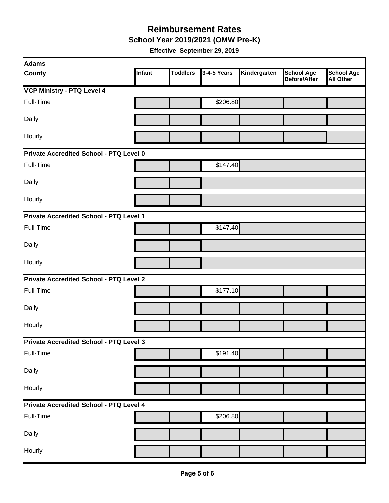**School Year 2019/2021 (OMW Pre-K)** 

| Adams                                   |        |                 |             |              |                                          |                                       |
|-----------------------------------------|--------|-----------------|-------------|--------------|------------------------------------------|---------------------------------------|
| <b>County</b>                           | Infant | <b>Toddlers</b> | 3-4-5 Years | Kindergarten | <b>School Age</b><br><b>Before/After</b> | <b>School Age</b><br><b>All Other</b> |
| <b>VCP Ministry - PTQ Level 4</b>       |        |                 |             |              |                                          |                                       |
| Full-Time                               |        |                 | \$206.80    |              |                                          |                                       |
| Daily                                   |        |                 |             |              |                                          |                                       |
| Hourly                                  |        |                 |             |              |                                          |                                       |
| Private Accredited School - PTQ Level 0 |        |                 |             |              |                                          |                                       |
| Full-Time                               |        |                 | \$147.40    |              |                                          |                                       |
| Daily                                   |        |                 |             |              |                                          |                                       |
| Hourly                                  |        |                 |             |              |                                          |                                       |
| Private Accredited School - PTQ Level 1 |        |                 |             |              |                                          |                                       |
| Full-Time                               |        |                 | \$147.40    |              |                                          |                                       |
| Daily                                   |        |                 |             |              |                                          |                                       |
| Hourly                                  |        |                 |             |              |                                          |                                       |
| Private Accredited School - PTQ Level 2 |        |                 |             |              |                                          |                                       |
| Full-Time                               |        |                 | \$177.10    |              |                                          |                                       |
| Daily                                   |        |                 |             |              |                                          |                                       |
| Hourly                                  |        |                 |             |              |                                          |                                       |
| Private Accredited School - PTQ Level 3 |        |                 |             |              |                                          |                                       |
| Full-Time                               |        |                 | \$191.40    |              |                                          |                                       |
| Daily                                   |        |                 |             |              |                                          |                                       |
| Hourly                                  |        |                 |             |              |                                          |                                       |
| Private Accredited School - PTQ Level 4 |        |                 |             |              |                                          |                                       |
| Full-Time                               |        |                 | \$206.80    |              |                                          |                                       |
| Daily                                   |        |                 |             |              |                                          |                                       |
| Hourly                                  |        |                 |             |              |                                          |                                       |